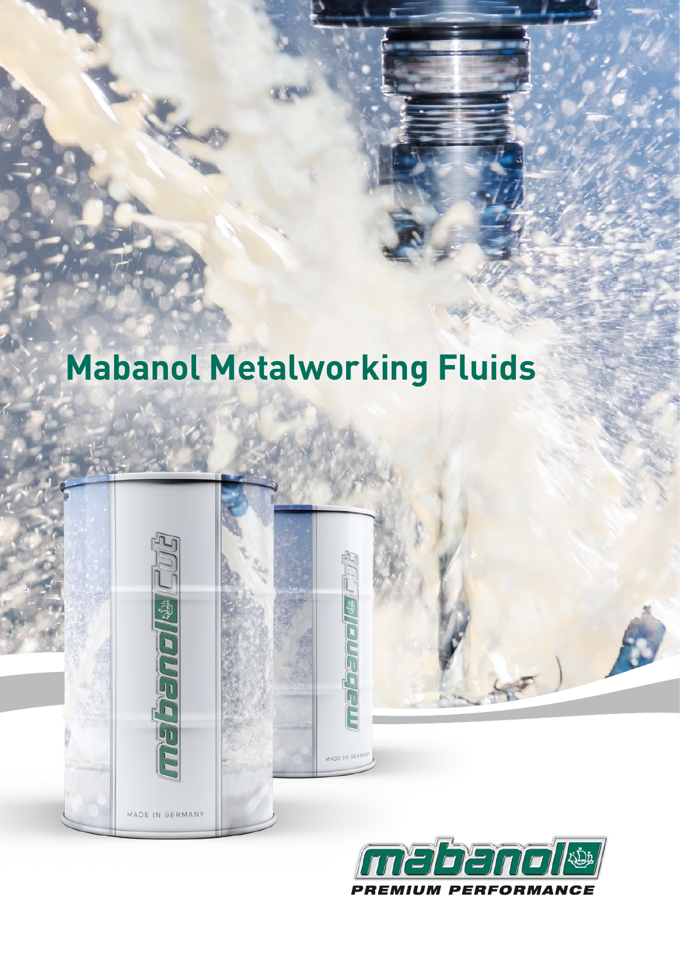## **Mabanol Metalworking Fluids**

MADE IN GERM

**Femal® Child** 

MADE IN GERMANY

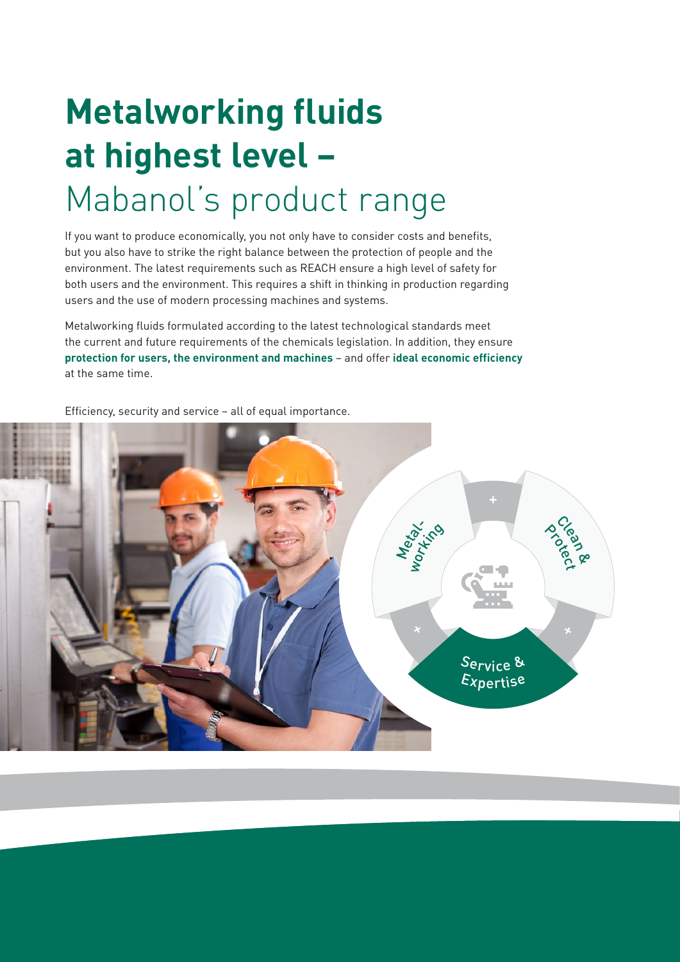# **Metalworking fluids at highest level –**  Mabanol's product range

If you want to produce economically, you not only have to consider costs and benefits, but you also have to strike the right balance between the protection of people and the environment. The latest requirements such as REACH ensure a high level of safety for both users and the environment. This requires a shift in thinking in production regarding users and the use of modern processing machines and systems.

Metalworking fluids formulated according to the latest technological standards meet the current and future requirements of the chemicals legislation. In addition, they ensure **protection for users, the environment and machines** – and offer **ideal economic efficiency** at the same time.

Efficiency, security and service – all of equal importance.

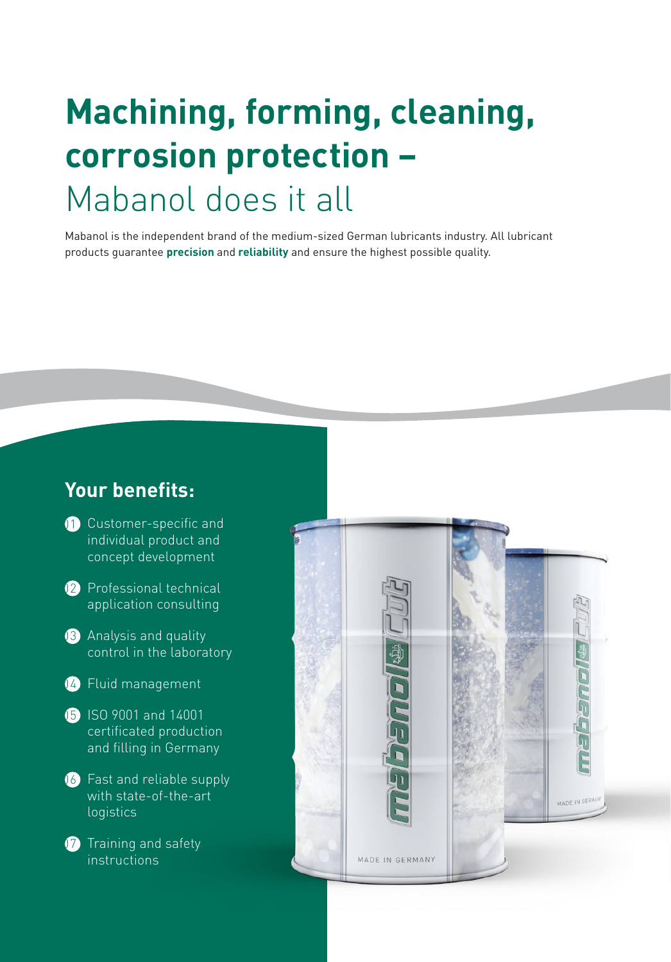## **Machining, forming, cleaning, corrosion protection –**  Mabanol does it all

Mabanol is the independent brand of the medium-sized German lubricants industry. All lubricant products guarantee **precision** and **reliability** and ensure the highest possible quality.

### **Your benefits:**

- <sup>1</sup> Customer-specific and individual product and concept development
- <sup>12</sup> Professional technical application consulting
- 03 Analysis and quality control in the laboratory
- 04 Fluid management
- **15** ISO 9001 and 14001 certificated production and filling in Germany
- **16** Fast and reliable supply with state-of-the-art logistics
- **17** Training and safety instructions

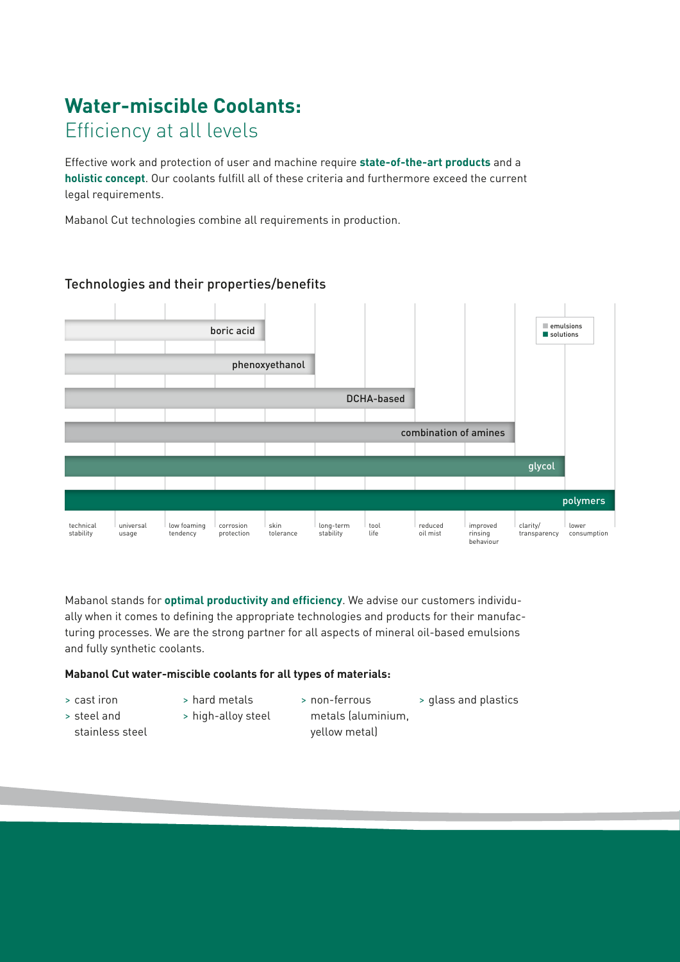## **Water-miscible Coolants:**  Efficiency at all levels

Effective work and protection of user and machine require **state-of-the-art products** and a **holistic concept**. Our coolants fulfill all of these criteria and furthermore exceed the current legal requirements.

Mabanol Cut technologies combine all requirements in production.



#### Technologies and their properties/benefits

Mabanol stands for **optimal productivity and efficiency**. We advise our customers individually when it comes to defining the appropriate technologies and products for their manufacturing processes. We are the strong partner for all aspects of mineral oil-based emulsions and fully synthetic coolants.

#### **Mabanol Cut water-miscible coolants for all types of materials:**

- > cast iron
- > hard metals
- > non-ferrous metals (aluminium, > glass and plastics
- > steel and stainless steel
- > high-alloy steel
- yellow metal)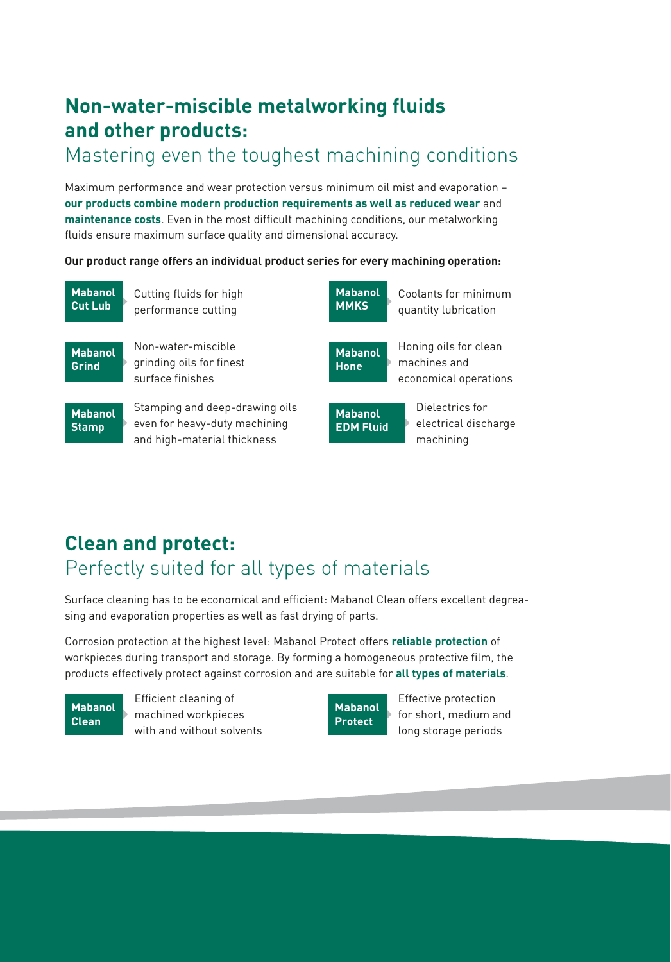### **Non-water-miscible metalworking fluids and other products:**

### Mastering even the toughest machining conditions

Maximum performance and wear protection versus minimum oil mist and evaporation – **our products combine modern production requirements as well as reduced wear** and **maintenance costs**. Even in the most difficult machining conditions, our metalworking fluids ensure maximum surface quality and dimensional accuracy.

#### **Our product range offers an individual product series for every machining operation:**



### **Clean and protect:**  Perfectly suited for all types of materials

Surface cleaning has to be economical and efficient: Mabanol Clean offers excellent degreasing and evaporation properties as well as fast drying of parts.

Corrosion protection at the highest level: Mabanol Protect offers **reliable protection** of workpieces during transport and storage. By forming a homogeneous protective film, the products effectively protect against corrosion and are suitable for **all types of materials**.

**Mabanol Clean**

Efficient cleaning of machined workpieces with and without solvents



Effective protection for short, medium and long storage periods